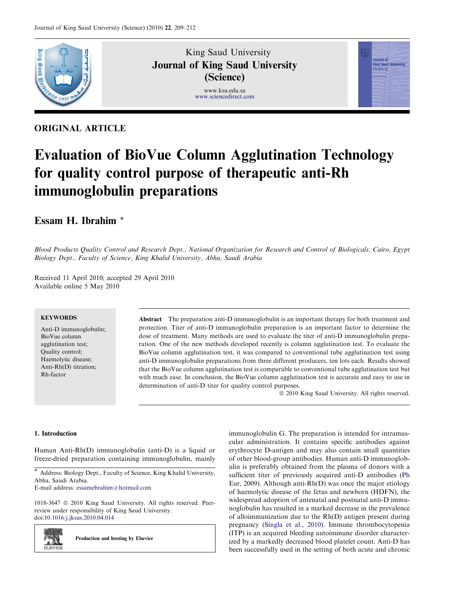

## King Saud University Journal of King Saud University (Science)

www.ksu.edu.sa [www.sciencedirect.com](http://www.sciencedirect.com/science/journal/10183647)



## ORIGINAL ARTICLE

# Evaluation of BioVue Column Agglutination Technology for quality control purpose of therapeutic anti-Rh immunoglobulin preparations

## Essam H. Ibrahim \*

Blood Products Quality Control and Research Dept., National Organization for Research and Control of Biologicals, Cairo, Egypt Biology Dept., Faculty of Science, King Khalid University, Abha, Saudi Arabia

Received 11 April 2010; accepted 29 April 2010 Available online 5 May 2010

#### **KEYWORDS**

Anti-D immunoglobulin; BioVue column agglutination test; Quality control; Haemolytic disease; Anti-Rh(D) titration; Rh-factor

Abstract The preparation anti-D immunoglobulin is an important therapy for both treatment and protection. Titer of anti-D immunoglobulin preparation is an important factor to determine the dose of treatment. Many methods are used to evaluate the titer of anti-D immunoglobulin preparation. One of the new methods developed recently is column agglutination test. To evaluate the BioVue column agglutination test, it was compared to conventional tube agglutination test using anti-D immunoglobulin preparations from three different producers, ten lots each. Results showed that the BioVue column agglutination test is comparable to conventional tube agglutination test but with much ease. In conclusion, the BioVue column agglutination test is accurate and easy to use in determination of anti-D titer for quality control purposes.

 $© 2010 King Saud University. All rights reserved.$ 

#### 1. Introduction

z SI **ELSEVIEE** 

Human Anti-Rh(D) immunoglobulin (anti-D) is a liquid or freeze-dried preparation containing immunoglobulin, mainly

\* Address: Biology Dept., Faculty of Science, King Khalid University, Abha, Saudi Arabia.

E-mail address: [essamebrahim@hotmail.com](mailto:essamebrahim@hotmail.com)

1018-3647  $\oslash$  2010 King Saud University. All rights reserved. Peerreview under responsibility of King Saud University. doi[:10.1016/j.jksus.2010.04.014](http://dx.doi.org/10.1016/j.jksus.2010.04.014)

Production and hosting by Elsevier

immunoglobulin G. The preparation is intended for intramuscular administration. It contains specific antibodies against erythrocyte D-antigen and may also contain small quantities of other blood-group antibodies. Human anti-D immunoglobulin is preferably obtained from the plasma of donors with a sufficient titer of previously acquired anti-D antibodies [\(Ph](#page--1-0) [Eur, 2009\)](#page--1-0). Although anti-Rh(D) was once the major etiology of haemolytic disease of the fetus and newborn (HDFN), the widespread adoption of antenatal and postnatal anti-D immunoglobulin has resulted in a marked decrease in the prevalence of alloimmunization due to the Rh(D) antigen present during pregnancy ([Singla et al., 2010](#page--1-0)). Immune thrombocytopenia (ITP) is an acquired bleeding autoimmune disorder characterized by a markedly decreased blood platelet count. Anti-D has been successfully used in the setting of both acute and chronic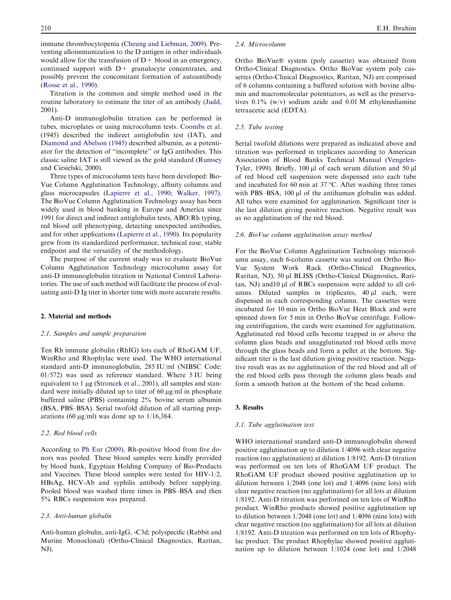immune thrombocytopenia [\(Cheung and Liebman, 2009](#page--1-0)). Preventing alloimmunization to the D antigen in other individuals would allow for the transfusion of  $D+$  blood in an emergency, continued support with  $D+$  granulocyte concentrates, and possibly prevent the concomitant formation of autoantibody ([Rosse et al., 1990](#page--1-0)).

Titration is the common and simple method used in the routine laboratory to estimate the titer of an antibody ([Judd,](#page--1-0) [2001\)](#page--1-0).

Anti-D immunoglobulin titration can be performed in tubes, microplates or using microcolumn tests. [Coombs et al.](#page--1-0) [\(1945\)](#page--1-0) described the indirect antiglobulin test (IAT), and [Diamond and Abelson \(1945\)](#page--1-0) described albumin, as a potentiator for the detection of ''incomplete'' or IgG antibodies. This classic saline IAT is still viewed as the gold standard ([Rumsey](#page--1-0) [and Ciesielski, 2000](#page--1-0)).

Three types of microcolumn tests have been developed: Bio-Vue Column Agglutination Technology, affinity columns and glass microcapsules ([Lapierre et al., 1990; Walker, 1997](#page--1-0)). The BioVue Column Agglutination Technology assay has been widely used in blood banking in Europe and America since 1991 for direct and indirect antiglobulin tests, ABO/Rh typing, red blood cell phenotyping, detecting unexpected antibodies, and for other applications ([Lapierre et al., 1990](#page--1-0)). Its popularity grew from its standardized performance, technical ease, stable endpoint and the versatility of the methodology.

The purpose of the current study was to evaluate BioVue Column Agglutination Technology microcolumn assay for anti-D immunoglobulin titration in National Control Laboratories. The use of such method will facilitate the process of evaluating anti-D Ig titer in shorter time with more accurate results.

#### 2. Material and methods

#### 2.1. Samples and sample preparation

Ten Rh immune globulin (RhIG) lots each of RhoGAM UF, WinRho and Rhophylac were used. The WHO international standard anti-D immunoglobulin, 285 IU/ml (NIBSC Code: 01/572) was used as reference standard. Where 5 IU being equivalent to  $1 \mu$ g ([Stroncek et al., 2001](#page--1-0)), all samples and standard were initially diluted up to titer of 60  $\mu$ g/ml in phosphate buffered saline (PBS) containing 2% bovine serum albumin (BSA, PBS–BSA). Serial twofold dilution of all starting preparations (60  $\mu$ g/ml) was done up to 1/16,384.

#### 2.2. Red blood cells

According to [Ph Eur \(2009\),](#page--1-0) Rh-positive blood from five donors was pooled. These blood samples were kindly provided by blood bank, Egyptian Holding Company of Bio-Products and Vaccines. These blood samples were tested for HIV-1/2, HBsAg, HCV-Ab and syphilis antibody before supplying. Pooled blood was washed three times in PBS–BSA and then 5% RBCs suspension was prepared.

#### 2.3. Anti-human globulin

Anti-human globulin, anti-IgG, -C3d; polyspecific (Rabbit and Murine Monoclonal) (Ortho-Clinical Diagnostics, Raritan, NJ).

#### 2.4. Microcolumn

Ortho BioVue® system (poly cassette) was obtained from Ortho-Clinical Diagnostics. Ortho BioVue system poly cassettes (Ortho-Clinical Diagnostics, Raritan, NJ) are comprised of 6 columns containing a buffered solution with bovine albumin and macromolecular potentiators, as well as the preservatives  $0.1\%$  (w/v) sodium azide and  $0.01$  M ethylenediamine tetraacetic acid (EDTA).

#### 2.5. Tube testing

Serial twofold dilutions were prepared as indicated above and titration was performed in triplicates according to American Association of Blood Banks Technical Manual ([Vengelen-](#page--1-0)[Tyler, 1999\)](#page--1-0). Briefly, 100  $\mu$ l of each serum dilution and 50  $\mu$ l of red blood cell suspension were dispensed into each tube and incubated for 60 min at 37  $\degree$ C. After washing three times with PBS–BSA, 100 µl of the antihuman globulin was added. All tubes were examined for agglutination. Significant titer is the last dilution giving positive reaction. Negative result was as no agglutination of the red blood.

#### 2.6. BioVue column agglutination assay method

For the BioVue Column Agglutination Technology microcolumn assay, each 6-column cassette was seated on Ortho Bio-Vue System Work Rack (Ortho-Clinical Diagnostics, Raritan, NJ), 50 µl BLISS (Ortho-Clinical Diagnostics, Raritan, NJ) and 10 µl of RBCs suspension were added to all columns. Diluted samples in triplicates,  $40 \mu l$  each, were dispensed in each corresponding column. The cassettes were incubated for 10 min in Ortho BioVue Heat Block and were spinned down for 5 min in Ortho BioVue centrifuge. Following centrifugation, the cards were examined for agglutination. Agglutinated red blood cells become trapped in or above the column glass beads and unagglutinated red blood cells move through the glass beads and form a pellet at the bottom. Significant titer is the last dilution giving positive reaction. Negative result was as no agglutination of the red blood and all of the red blood cells pass through the column glass beads and form a smooth button at the bottom of the bead column.

#### 3. Results

#### 3.1. Tube agglutination test

WHO international standard anti-D immunoglobulin showed positive agglutination up to dilution 1/4096 with clear negative reaction (no agglutination) at dilution 1/8192. Anti-D titration was performed on ten lots of RhoGAM UF product. The RhoGAM UF product showed positive agglutination up to dilution between 1/2048 (one lot) and 1/4096 (nine lots) with clear negative reaction (no agglutination) for all lots at dilution 1/8192. Anti-D titration was performed on ten lots of WinRho product. WinRho products showed positive agglutination up to dilution between 1/2048 (one lot) and 1/4096 (nine lots) with clear negative reaction (no agglutination) for all lots at dilution 1/8192. Anti-D titration was performed on ten lots of Rhophylac product. The product Rhophylac showed positive agglutination up to dilution between 1/1024 (one lot) and 1/2048